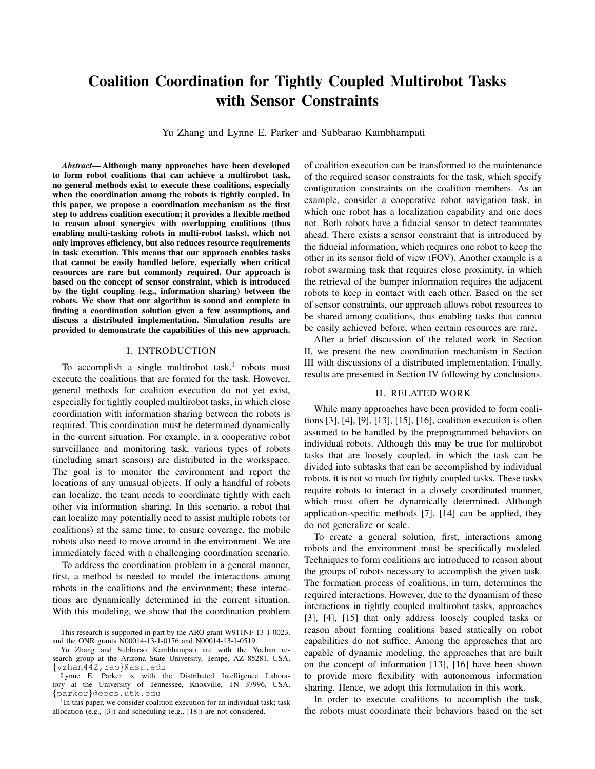# **Coalition Coordination for Tightly Coupled Multirobot Tasks** with Sensor Constraints

Yu Zhang and Lynne E. Parker and Subbarao Kambhampati

Abstract-Although many approaches have been developed to form robot coalitions that can achieve a multirobot task, no general methods exist to execute these coalitions, especially when the coordination among the robots is tightly coupled. In this paper, we propose a coordination mechanism as the first step to address coalition execution; it provides a flexible method to reason about synergies with overlapping coalitions (thus enabling multi-tasking robots in multi-robot tasks), which not only improves efficiency, but also reduces resource requirements in task execution. This means that our approach enables tasks that cannot be easily handled before, especially when critical resources are rare but commonly required. Our approach is based on the concept of sensor constraint, which is introduced by the tight coupling (e.g., information sharing) between the robots. We show that our algorithm is sound and complete in finding a coordination solution given a few assumptions, and discuss a distributed implementation. Simulation results are provided to demonstrate the capabilities of this new approach.

#### I. INTRODUCTION

To accomplish a single multirobot task,<sup>1</sup> robots must execute the coalitions that are formed for the task. However, general methods for coalition execution do not yet exist, especially for tightly coupled multirobot tasks, in which close coordination with information sharing between the robots is required. This coordination must be determined dynamically in the current situation. For example, in a cooperative robot surveillance and monitoring task, various types of robots (including smart sensors) are distributed in the workspace. The goal is to monitor the environment and report the locations of any unusual objects. If only a handful of robots can localize, the team needs to coordinate tightly with each other via information sharing. In this scenario, a robot that can localize may potentially need to assist multiple robots (or coalitions) at the same time; to ensure coverage, the mobile robots also need to move around in the environment. We are immediately faced with a challenging coordination scenario.

To address the coordination problem in a general manner, first, a method is needed to model the interactions among robots in the coalitions and the environment; these interactions are dynamically determined in the current situation. With this modeling, we show that the coordination problem of coalition execution can be transformed to the maintenance of the required sensor constraints for the task, which specify configuration constraints on the coalition members. As an example, consider a cooperative robot navigation task, in which one robot has a localization capability and one does not. Both robots have a fiducial sensor to detect teammates ahead. There exists a sensor constraint that is introduced by the fiducial information, which requires one robot to keep the other in its sensor field of view (FOV). Another example is a robot swarming task that requires close proximity, in which the retrieval of the bumper information requires the adjacent robots to keep in contact with each other. Based on the set of sensor constraints, our approach allows robot resources to be shared among coalitions, thus enabling tasks that cannot be easily achieved before, when certain resources are rare.

After a brief discussion of the related work in Section II, we present the new coordination mechanism in Section III with discussions of a distributed implementation. Finally, results are presented in Section IV following by conclusions.

#### **II. RELATED WORK**

While many approaches have been provided to form coalitions [3], [4], [9], [13], [15], [16], coalition execution is often assumed to be handled by the preprogrammed behaviors on individual robots. Although this may be true for multirobot tasks that are loosely coupled, in which the task can be divided into subtasks that can be accomplished by individual robots, it is not so much for tightly coupled tasks. These tasks require robots to interact in a closely coordinated manner, which must often be dynamically determined. Although application-specific methods [7], [14] can be applied, they do not generalize or scale.

To create a general solution, first, interactions among robots and the environment must be specifically modeled. Techniques to form coalitions are introduced to reason about the groups of robots necessary to accomplish the given task. The formation process of coalitions, in turn, determines the required interactions. However, due to the dynamism of these interactions in tightly coupled multirobot tasks, approaches [3], [4], [15] that only address loosely coupled tasks or reason about forming coalitions based statically on robot capabilities do not suffice. Among the approaches that are capable of dynamic modeling, the approaches that are built on the concept of information [13], [16] have been shown to provide more flexibility with autonomous information sharing. Hence, we adopt this formulation in this work.

In order to execute coalitions to accomplish the task, the robots must coordinate their behaviors based on the set

This research is supported in part by the ARO grant W911NF-13-1-0023, and the ONR grants N00014-13-1-0176 and N00014-13-1-0519.

Yu Zhang and Subbarao Kambhampati are with the Yochan research group at the Arizona State University, Tempe, AZ 85281, USA,  $\{y$ zhan442, rao}@asu.edu

Lynne E. Parker is with the Distributed Intelligence Laboratory at the University of Tennessee, Knoxville, TN 37996, USA, {parker}@eecs.utk.edu

<sup>&</sup>lt;sup>1</sup>In this paper, we consider coalition execution for an individual task; task allocation (e.g., [3]) and scheduling (e.g., [18]) are not considered.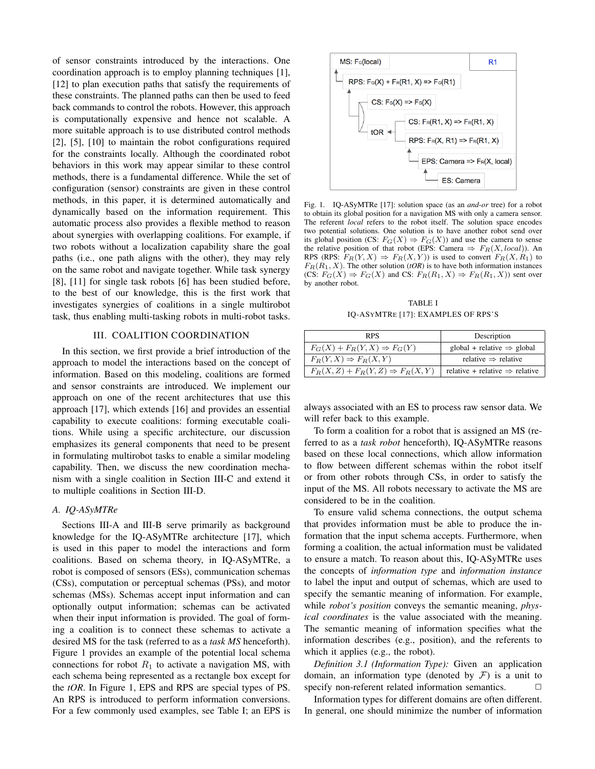of sensor constraints introduced by the interactions. One coordination approach is to employ planning techniques [1], [12] to plan execution paths that satisfy the requirements of these constraints. The planned paths can then be used to feed back commands to control the robots. However, this approach is computationally expensive and hence not scalable. A more suitable approach is to use distributed control methods  $[2]$ ,  $[5]$ ,  $[10]$  to maintain the robot configurations required for the constraints locally. Although the coordinated robot behaviors in this work may appear similar to these control methods, there is a fundamental difference. While the set of configuration (sensor) constraints are given in these control methods, in this paper, it is determined automatically and dynamically based on the information requirement. This automatic process also provides a flexible method to reason about synergies with overlapping coalitions. For example, if two robots without a localization capability share the goal paths (*i.e.*, one path aligns with the other), they may rely on the same robot and navigate together. While task synergy [8], [11] for single task robots [6] has been studied before, to the best of our knowledge, this is the first work that investigates synergies of coalitions in a single multirobot task, thus enabling multi-tasking robots in multi-robot tasks.

#### **III. COALITION COORDINATION**

In this section, we first provide a brief introduction of the approach to model the interactions based on the concept of information. Based on this modeling, coalitions are formed and sensor constraints are introduced. We implement our approach on one of the recent architectures that use this approach [17], which extends [16] and provides an essential capability to execute coalitions: forming executable coalitions. While using a specific architecture, our discussion emphasizes its general components that need to be present in formulating multirobot tasks to enable a similar modeling capability. Then, we discuss the new coordination mechanism with a single coalition in Section III-C and extend it to multiple coalitions in Section III-D.

# A. IQ-ASyMTRe

Sections III-A and III-B serve primarily as background knowledge for the IQ-ASyMTRe architecture [17], which is used in this paper to model the interactions and form coalitions. Based on schema theory, in IQ-ASyMTRe, a robot is composed of sensors (ESs), communication schemas (CSs), computation or perceptual schemas (PSs), and motor schemas (MSs). Schemas accept input information and can optionally output information; schemas can be activated when their input information is provided. The goal of forming a coalition is to connect these schemas to activate a desired MS for the task (referred to as a *task MS* henceforth). Figure 1 provides an example of the potential local schema connections for robot  $R_1$  to activate a navigation MS, with each schema being represented as a rectangle box except for the  $tOR$ . In Figure 1, EPS and RPS are special types of PS. An RPS is introduced to perform information conversions. For a few commonly used examples, see Table I; an EPS is



Fig. 1. IQ-ASyMTRe [17]: solution space (as an *and-or* tree) for a robot to obtain its global position for a navigation MS with only a camera sensor. The referent local refers to the robot itself. The solution space encodes two potential solutions. One solution is to have another robot send over its global position (CS:  $F_G(X) \Rightarrow F_G(X)$ ) and use the camera to sense the relative position of that robot (EPS: Camera  $\Rightarrow$   $F_R(X, local)$ ). An RPS (RPS:  $F_R(Y, X) \Rightarrow F_R(X, Y)$ ) is used to convert  $F_R(X, R_1)$  to  $F_R(R_1, X)$ . The other solution (tOR) is to have both information instances (CS:  $F_G(X) \Rightarrow F_G(X)$  and CS:  $F_R(R_1, X) \Rightarrow F_R(R_1, X)$ ) sent over by another robot.

**TABLE I** IQ-ASYMTRE [17]: EXAMPLES OF RPS'S

| <b>RPS</b>                                 | Description                                |
|--------------------------------------------|--------------------------------------------|
| $F_G(X) + F_R(Y, X) \Rightarrow F_G(Y)$    | $global + relative \Rightarrow global$     |
| $F_R(Y, X) \Rightarrow F_R(X, Y)$          | relative $\Rightarrow$ relative            |
| $F_R(X,Z) + F_R(Y,Z) \Rightarrow F_R(X,Y)$ | relative + relative $\Rightarrow$ relative |

always associated with an ES to process raw sensor data. We will refer back to this example.

To form a coalition for a robot that is assigned an MS (referred to as a task robot henceforth), IQ-ASyMTRe reasons based on these local connections, which allow information to flow between different schemas within the robot itself or from other robots through CSs, in order to satisfy the input of the MS. All robots necessary to activate the MS are considered to be in the coalition.

To ensure valid schema connections, the output schema that provides information must be able to produce the information that the input schema accepts. Furthermore, when forming a coalition, the actual information must be validated to ensure a match. To reason about this, IQ-ASyMTRe uses the concepts of information type and information instance to label the input and output of schemas, which are used to specify the semantic meaning of information. For example, while *robot's position* conveys the semantic meaning, *physical coordinates* is the value associated with the meaning. The semantic meaning of information specifies what the information describes (e.g., position), and the referents to which it applies (e.g., the robot).

Definition 3.1 (Information Type): Given an application domain, an information type (denoted by  $\mathcal{F}$ ) is a unit to specify non-referent related information semantics.  $\Box$ 

Information types for different domains are often different. In general, one should minimize the number of information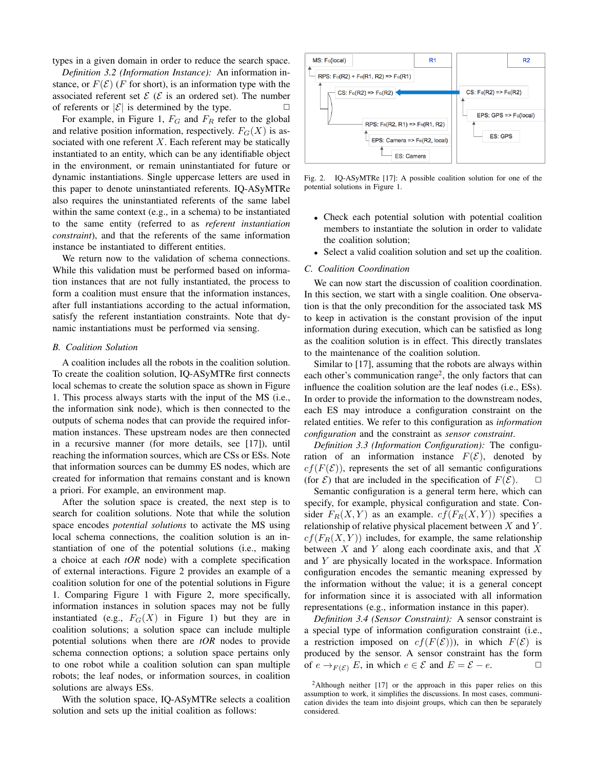types in a given domain in order to reduce the search space.

Definition 3.2 (Information Instance): An information instance, or  $F(\mathcal{E})$  (F for short), is an information type with the associated referent set  $\mathcal{E}$  ( $\mathcal{E}$  is an ordered set). The number of referents or  $|\mathcal{E}|$  is determined by the type.  $\Box$ 

For example, in Figure 1,  $F_G$  and  $F_R$  refer to the global and relative position information, respectively.  $F_G(X)$  is associated with one referent  $X$ . Each referent may be statically instantiated to an entity, which can be any identifiable object in the environment, or remain uninstantiated for future or dynamic instantiations. Single uppercase letters are used in this paper to denote uninstantiated referents. IQ-ASyMTRe also requires the uninstantiated referents of the same label within the same context (e.g., in a schema) to be instantiated to the same entity (referred to as referent instantiation *constraint*), and that the referents of the same information instance be instantiated to different entities.

We return now to the validation of schema connections. While this validation must be performed based on information instances that are not fully instantiated, the process to form a coalition must ensure that the information instances, after full instantiations according to the actual information, satisfy the referent instantiation constraints. Note that dynamic instantiations must be performed via sensing.

### **B.** Coalition Solution

A coalition includes all the robots in the coalition solution. To create the coalition solution, IQ-ASyMTRe first connects local schemas to create the solution space as shown in Figure 1. This process always starts with the input of the MS (i.e., the information sink node), which is then connected to the outputs of schema nodes that can provide the required information instances. These upstream nodes are then connected in a recursive manner (for more details, see [17]), until reaching the information sources, which are CSs or ESs. Note that information sources can be dummy ES nodes, which are created for information that remains constant and is known a priori. For example, an environment map.

After the solution space is created, the next step is to search for coalition solutions. Note that while the solution space encodes *potential solutions* to activate the MS using local schema connections, the coalition solution is an instantiation of one of the potential solutions (i.e., making a choice at each  $tOR$  node) with a complete specification of external interactions. Figure 2 provides an example of a coalition solution for one of the potential solutions in Figure 1. Comparing Figure 1 with Figure 2, more specifically, information instances in solution spaces may not be fully instantiated (e.g.,  $F_G(X)$  in Figure 1) but they are in coalition solutions; a solution space can include multiple potential solutions when there are  $tOR$  nodes to provide schema connection options; a solution space pertains only to one robot while a coalition solution can span multiple robots; the leaf nodes, or information sources, in coalition solutions are always ESs.

With the solution space, IQ-ASyMTRe selects a coalition solution and sets up the initial coalition as follows:



Fig. 2. IQ-ASyMTRe [17]: A possible coalition solution for one of the potential solutions in Figure 1.

- Check each potential solution with potential coalition members to instantiate the solution in order to validate the coalition solution;
- Select a valid coalition solution and set up the coalition.

#### C. Coalition Coordination

We can now start the discussion of coalition coordination. In this section, we start with a single coalition. One observation is that the only precondition for the associated task MS to keep in activation is the constant provision of the input information during execution, which can be satisfied as long as the coalition solution is in effect. This directly translates to the maintenance of the coalition solution.

Similar to [17], assuming that the robots are always within each other's communication range<sup>2</sup>, the only factors that can influence the coalition solution are the leaf nodes (i.e., ESs). In order to provide the information to the downstream nodes, each ES may introduce a configuration constraint on the related entities. We refer to this configuration as *information* configuration and the constraint as sensor constraint.

Definition 3.3 (Information Configuration): The configuration of an information instance  $F(\mathcal{E})$ , denoted by  $cf(F(\mathcal{E}))$ , represents the set of all semantic configurations (for  $\mathcal E$ ) that are included in the specification of  $F(\mathcal E)$ .  $\Box$ 

Semantic configuration is a general term here, which can specify, for example, physical configuration and state. Consider  $F_R(X, Y)$  as an example.  $cf(F_R(X, Y))$  specifies a relationship of relative physical placement between  $X$  and  $Y$ .  $cf(F_R(X, Y))$  includes, for example, the same relationship between  $X$  and  $Y$  along each coordinate axis, and that  $X$ and Y are physically located in the workspace. Information configuration encodes the semantic meaning expressed by the information without the value; it is a general concept for information since it is associated with all information representations (e.g., information instance in this paper).

Definition 3.4 (Sensor Constraint): A sensor constraint is a special type of information configuration constraint (i.e., a restriction imposed on  $cf(F(\mathcal{E}))$ , in which  $F(\mathcal{E})$  is produced by the sensor. A sensor constraint has the form of  $e \rightarrow_{F(\mathcal{E})} E$ , in which  $e \in \mathcal{E}$  and  $E = \mathcal{E} - e$ .  $\Box$ 

<sup>&</sup>lt;sup>2</sup>Although neither [17] or the approach in this paper relies on this assumption to work, it simplifies the discussions. In most cases, communication divides the team into disjoint groups, which can then be separately considered.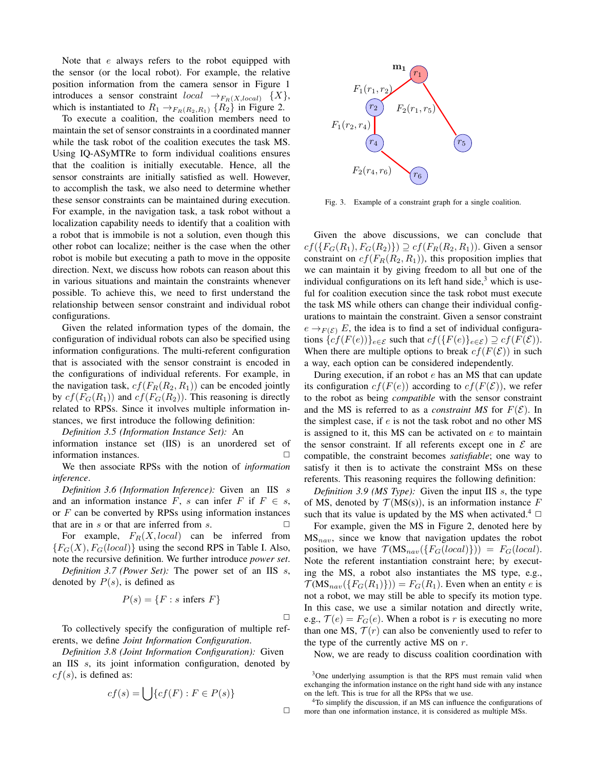Note that  $e$  always refers to the robot equipped with the sensor (or the local robot). For example, the relative position information from the camera sensor in Figure 1 introduces a sensor constraint  $local \rightarrow_{F_R(X, local)} \{X\},\$ which is instantiated to  $R_1 \rightarrow_{F_R(R_2,R_1)} \{R_2\}$  in Figure 2.

To execute a coalition, the coalition members need to maintain the set of sensor constraints in a coordinated manner while the task robot of the coalition executes the task MS. Using IQ-ASyMTRe to form individual coalitions ensures that the coalition is initially executable. Hence, all the sensor constraints are initially satisfied as well. However, to accomplish the task, we also need to determine whether these sensor constraints can be maintained during execution. For example, in the navigation task, a task robot without a localization capability needs to identify that a coalition with a robot that is immobile is not a solution, even though this other robot can localize; neither is the case when the other robot is mobile but executing a path to move in the opposite direction. Next, we discuss how robots can reason about this in various situations and maintain the constraints whenever possible. To achieve this, we need to first understand the relationship between sensor constraint and individual robot configurations.

Given the related information types of the domain, the configuration of individual robots can also be specified using information configurations. The multi-referent configuration that is associated with the sensor constraint is encoded in the configurations of individual referents. For example, in the navigation task,  $cf(F_R(R_2, R_1))$  can be encoded jointly by  $cf(F_G(R_1))$  and  $cf(F_G(R_2))$ . This reasoning is directly related to RPSs. Since it involves multiple information instances, we first introduce the following definition:

Definition 3.5 (Information Instance Set): An

information instance set (IIS) is an unordered set of information instances. П

We then associate RPSs with the notion of information inference.

Definition 3.6 (Information Inference): Given an IIS s and an information instance F, s can infer F if  $F \in s$ , or  $F$  can be converted by RPSs using information instances that are in s or that are inferred from s.  $\Box$ 

For example,  $F_R(X, local)$  can be inferred from  ${F_G(X), F_G(local)}$  using the second RPS in Table I. Also, note the recursive definition. We further introduce power set.

Definition 3.7 (Power Set): The power set of an IIS s, denoted by  $P(s)$ , is defined as

$$
P(s) = \{F : s \text{ infers } F\}
$$

 $\Box$ 

 $\Box$ 

To collectively specify the configuration of multiple referents, we define Joint Information Configuration.

Definition 3.8 (Joint Information Configuration): Given an IIS s, its joint information configuration, denoted by  $cf(s)$ , is defined as:

$$
cf(s) = \bigcup \{ cf(F) : F \in P(s) \}
$$



Fig. 3. Example of a constraint graph for a single coalition.

Given the above discussions, we can conclude that  $cf({F_G(R_1), F_G(R_2)} \supseteq cf(F_R(R_2, R_1))$ . Given a sensor constraint on  $cf(F_R(R_2, R_1))$ , this proposition implies that we can maintain it by giving freedom to all but one of the individual configurations on its left hand side, $3$  which is useful for coalition execution since the task robot must execute the task MS while others can change their individual configurations to maintain the constraint. Given a sensor constraint  $e \rightarrow_{F(\mathcal{E})} E$ , the idea is to find a set of individual configurations  $\{cf(F(e))\}_{e\in \mathcal{E}}$  such that  $cf(\lbrace F(e)\rbrace_{e\in \mathcal{E}}) \supseteq cf(F(\mathcal{E}))$ . When there are multiple options to break  $cf(F(\mathcal{E}))$  in such a way, each option can be considered independently.

During execution, if an robot  $e$  has an MS that can update its configuration  $cf(F(e))$  according to  $cf(F(\mathcal{E}))$ , we refer to the robot as being *compatible* with the sensor constraint and the MS is referred to as a *constraint MS* for  $F(\mathcal{E})$ . In the simplest case, if  $e$  is not the task robot and no other MS is assigned to it, this MS can be activated on  $e$  to maintain the sensor constraint. If all referents except one in  $\mathcal E$  are compatible, the constraint becomes *satisfiable*; one way to satisfy it then is to activate the constraint MSs on these referents. This reasoning requires the following definition:

Definition 3.9 (MS Type): Given the input IIS  $s$ , the type of MS, denoted by  $\mathcal{T}(MS(s))$ , is an information instance F such that its value is updated by the MS when activated.<sup>4</sup>  $\Box$ 

For example, given the MS in Figure 2, denoted here by  $MS_{nav}$ , since we know that navigation updates the robot position, we have  $\mathcal{T}(MS_{nav}(\{F_G(local)\})) = F_G(local)$ . Note the referent instantiation constraint here; by executing the MS, a robot also instantiates the MS type, e.g.,  $\mathcal{T}(MS_{nav}(\{F_G(R_1)\})) = F_G(R_1)$ . Even when an entity e is not a robot, we may still be able to specify its motion type. In this case, we use a similar notation and directly write, e.g.,  $\mathcal{T}(e) = F_G(e)$ . When a robot is r is executing no more than one MS,  $\mathcal{T}(r)$  can also be conveniently used to refer to the type of the currently active MS on  $r$ .

Now, we are ready to discuss coalition coordination with

<sup>&</sup>lt;sup>3</sup>One underlying assumption is that the RPS must remain valid when exchanging the information instance on the right hand side with any instance on the left. This is true for all the RPSs that we use.

<sup>&</sup>lt;sup>4</sup>To simplify the discussion, if an MS can influence the configurations of more than one information instance, it is considered as multiple MSs.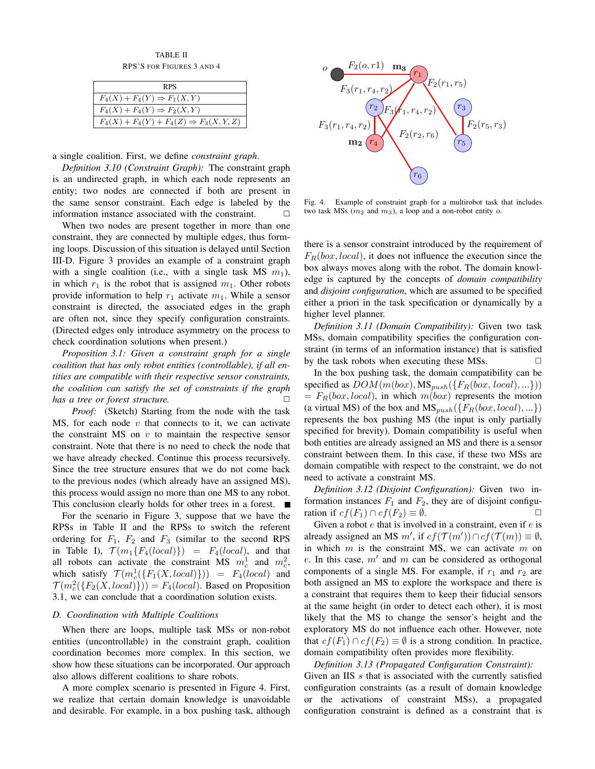**TABLE II** 

RPS'S FOR FIGURES 3 AND 4

| <b>RPS</b>                                          |
|-----------------------------------------------------|
| $F_4(X) + F_4(Y) \Rightarrow F_1(X, Y)$             |
| $F_4(X) + F_4(Y) \Rightarrow F_2(X, Y)$             |
| $F_4(X) + F_4(Y) + F_4(Z) \Rightarrow F_3(X, Y, Z)$ |

a single coalition. First, we define *constraint graph*.

Definition 3.10 (Constraint Graph): The constraint graph is an undirected graph, in which each node represents an entity; two nodes are connected if both are present in the same sensor constraint. Each edge is labeled by the information instance associated with the constraint.  $\Box$ 

When two nodes are present together in more than one constraint, they are connected by multiple edges, thus forming loops. Discussion of this situation is delayed until Section III-D. Figure 3 provides an example of a constraint graph with a single coalition (i.e., with a single task MS  $m_1$ ), in which  $r_1$  is the robot that is assigned  $m_1$ . Other robots provide information to help  $r_1$  activate  $m_1$ . While a sensor constraint is directed, the associated edges in the graph are often not, since they specify configuration constraints. (Directed edges only introduce asymmetry on the process to check coordination solutions when present.)

Proposition 3.1: Given a constraint graph for a single coalition that has only robot entities (controllable), if all entities are compatible with their respective sensor constraints, the coalition can satisfy the set of constraints if the graph has a tree or forest structure.  $\Box$ 

Proof: (Sketch) Starting from the node with the task MS, for each node  $v$  that connects to it, we can activate the constraint MS on  $v$  to maintain the respective sensor constraint. Note that there is no need to check the node that we have already checked. Continue this process recursively. Since the tree structure ensures that we do not come back to the previous nodes (which already have an assigned MS), this process would assign no more than one MS to any robot. This conclusion clearly holds for other trees in a forest.  $\blacksquare$ 

For the scenario in Figure 3, suppose that we have the RPSs in Table II and the RPSs to switch the referent ordering for  $F_1$ ,  $F_2$  and  $F_3$  (similar to the second RPS in Table I),  $\mathcal{T}(m_1\{F_4(local)\}) = F_4(local)$ , and that all robots can activate the constraint MS  $m_c^1$  and  $m_c^2$ , which satisfy  $\mathcal{T}(m_c^1(\{F_1(X, local)\})) = F_4(local)$  and  $\mathcal{T}(m_c^2({F_2(X, local)})) = F_4(local)$ . Based on Proposition 3.1, we can conclude that a coordination solution exists.

## D. Coordination with Multiple Coalitions

When there are loops, multiple task MSs or non-robot entities (uncontrollable) in the constraint graph, coalition coordination becomes more complex. In this section, we show how these situations can be incorporated. Our approach also allows different coalitions to share robots.

A more complex scenario is presented in Figure 4. First, we realize that certain domain knowledge is unavoidable and desirable. For example, in a box pushing task, although



Fig. 4. Example of constraint graph for a multirobot task that includes two task MSs  $(m_2 \text{ and } m_3)$ , a loop and a non-robot entity o.

there is a sensor constraint introduced by the requirement of  $F_R(box, local)$ , it does not influence the execution since the box always moves along with the robot. The domain knowledge is captured by the concepts of *domain compatibility* and *disjoint configuration*, which are assumed to be specified either a priori in the task specification or dynamically by a higher level planner.

Definition 3.11 (Domain Compatibility): Given two task MSs, domain compatibility specifies the configuration constraint (in terms of an information instance) that is satisfied by the task robots when executing these MSs.  $\Box$ 

In the box pushing task, the domain compatibility can be specified as  $DOM(m(box), MS_{push}(\lbrace F_R(box, local), \ldots \rbrace))$  $= F_R(box, local)$ , in which  $m(box)$  represents the motion (a virtual MS) of the box and  $MS_{push}(\{F_R(box, local), ...\})$ represents the box pushing MS (the input is only partially specified for brevity). Domain compatibility is useful when both entities are already assigned an MS and there is a sensor constraint between them. In this case, if these two MSs are domain compatible with respect to the constraint, we do not need to activate a constraint MS.

Definition 3.12 (Disjoint Configuration): Given two information instances  $F_1$  and  $F_2$ , they are of disjoint configuration if  $cf(F_1) \cap cf(F_2) \equiv \emptyset$ .  $\Box$ 

Given a robot  $e$  that is involved in a constraint, even if  $e$  is already assigned an MS m', if  $cf(\mathcal{T}(m')) \cap cf(\mathcal{T}(m)) \equiv \emptyset$ , in which  $m$  is the constraint MS, we can activate  $m$  on e. In this case,  $m'$  and  $m$  can be considered as orthogonal components of a single MS. For example, if  $r_1$  and  $r_2$  are both assigned an MS to explore the workspace and there is a constraint that requires them to keep their fiducial sensors at the same height (in order to detect each other), it is most likely that the MS to change the sensor's height and the exploratory MS do not influence each other. However, note that  $cf(F_1) \cap cf(F_2) \equiv \emptyset$  is a strong condition. In practice, domain compatibility often provides more flexibility.

# Definition 3.13 (Propagated Configuration Constraint):

Given an IIS s that is associated with the currently satisfied configuration constraints (as a result of domain knowledge or the activations of constraint MSs), a propagated configuration constraint is defined as a constraint that is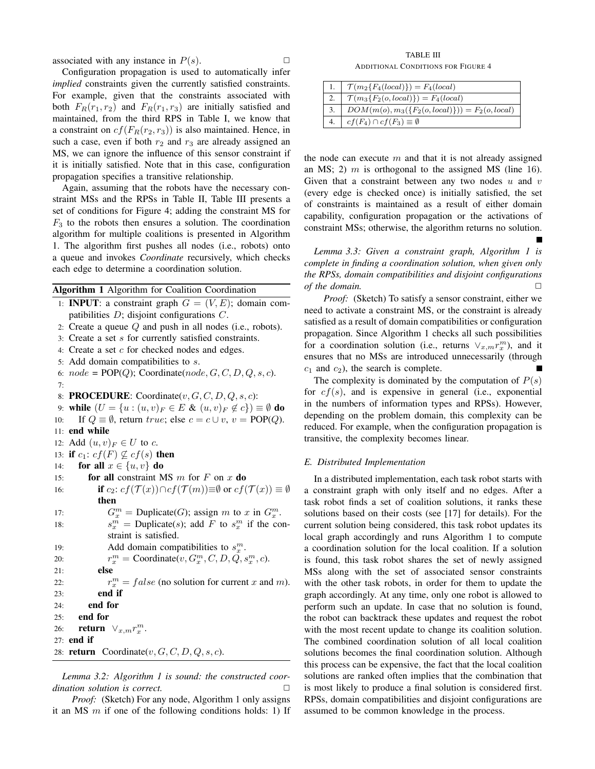associated with any instance in  $P(s)$ .

Configuration propagation is used to automatically infer *implied* constraints given the currently satisfied constraints. For example, given that the constraints associated with both  $F_R(r_1, r_2)$  and  $F_R(r_1, r_3)$  are initially satisfied and maintained, from the third RPS in Table I, we know that a constraint on  $cf(F_R(r_2, r_3))$  is also maintained. Hence, in such a case, even if both  $r_2$  and  $r_3$  are already assigned an MS, we can ignore the influence of this sensor constraint if it is initially satisfied. Note that in this case, configuration propagation specifies a transitive relationship.

Again, assuming that the robots have the necessary constraint MSs and the RPSs in Table II, Table III presents a set of conditions for Figure 4; adding the constraint MS for  $F_3$  to the robots then ensures a solution. The coordination algorithm for multiple coalitions is presented in Algorithm 1. The algorithm first pushes all nodes (i.e., robots) onto a queue and invokes *Coordinate* recursively, which checks each edge to determine a coordination solution.

|     | Algorithm 1 Algorithm for Coalition Coordination                                                                  |
|-----|-------------------------------------------------------------------------------------------------------------------|
|     | 1: <b>INPUT</b> : a constraint graph $G = (V, E)$ ; domain com-                                                   |
|     | patibilities $D$ ; disjoint configurations $C$ .                                                                  |
|     | 2. Create a queue $Q$ and push in all nodes (i.e., robots).                                                       |
|     | 3: Create a set $s$ for currently satisfied constraints.                                                          |
|     | 4: Create a set $c$ for checked nodes and edges.                                                                  |
| 5:  | Add domain compatibilities to s.                                                                                  |
| 6:  | $node = POP(Q);$ Coordinate( $node, G, C, D, Q, s, c$ ).                                                          |
| 7:  |                                                                                                                   |
| 8:  | <b>PROCEDURE:</b> Coordinate(v, G, C, D, Q, s, c):                                                                |
| 9:  | while $(U = {u : (u, v)_F \in E \& (u, v)_F \notin c} ) \equiv \emptyset$ do                                      |
| 10: | If $Q \equiv \emptyset$ , return <i>true</i> ; else $c = c \cup v$ , $v = POP(Q)$ .                               |
| 11: | end while                                                                                                         |
| 12: | Add $(u, v)_F \in U$ to c.                                                                                        |
| 13: | if $c_1$ : $cf(F) \nsubseteq cf(s)$ then                                                                          |
| 14: | for all $x \in \{u, v\}$ do                                                                                       |
| 15: | for all constraint MS $m$ for $F$ on $x$ do                                                                       |
| 16: | if $c_2$ : $cf(\mathcal{T}(x)) \cap cf(\mathcal{T}(m)) \equiv \emptyset$ or $cf(\mathcal{T}(x)) \equiv \emptyset$ |
|     | then                                                                                                              |
| 17: | $G_x^m$ = Duplicate(G); assign m to x in $G_x^m$ .                                                                |
| 18: | $s_x^m$ = Duplicate(s); add F to $s_x^m$ if the con-                                                              |
|     | straint is satisfied.                                                                                             |
| 19: | Add domain compatibilities to $s_x^m$ .                                                                           |
| 20: | $r_x^m = \text{Coordinate}(v, G_x^m, C, D, Q, s_x^m, c).$                                                         |
| 21: | else                                                                                                              |
| 22: | $r_x^m = false$ (no solution for current x and m).                                                                |
| 23: | end if                                                                                                            |
| 24: | end for                                                                                                           |
| 25: | end for                                                                                                           |
| 26: | <b>return</b> $\forall x, m \, r_x^m$ .                                                                           |
| 27: | end if                                                                                                            |
| 28: | Coordinate( $v, G, C, D, Q, s, c$ ).<br>return                                                                    |
|     |                                                                                                                   |

Lemma 3.2: Algorithm 1 is sound: the constructed coordination solution is correct. П

*Proof:* (Sketch) For any node, Algorithm 1 only assigns it an MS  $m$  if one of the following conditions holds: 1) If

**TABLE III ADDITIONAL CONDITIONS FOR FIGURE 4** 

| 1.   $\mathcal{T}(m_2\{F_4(local)\}) = F_4(local)$                |
|-------------------------------------------------------------------|
| 2. $\mathcal{T}(m_3\{F_2(o, local)\}) = F_4(local)$               |
| 3.   $DOM(m(o), m_3({F_2(o, local)})) = F_2(o, local)$            |
| 4. $\left\vert cf(F_4) \cap cf(F_3) \equiv \emptyset \right\vert$ |

the node can execute  $m$  and that it is not already assigned an MS; 2)  $m$  is orthogonal to the assigned MS (line 16). Given that a constraint between any two nodes  $u$  and  $v$ (every edge is checked once) is initially satisfied, the set of constraints is maintained as a result of either domain capability, configuration propagation or the activations of constraint MSs; otherwise, the algorithm returns no solution.

Lemma 3.3: Given a constraint graph, Algorithm 1 is complete in finding a coordination solution, when given only the RPSs, domain compatibilities and disjoint configurations of the domain.  $\Box$ 

Proof: (Sketch) To satisfy a sensor constraint, either we need to activate a constraint MS, or the constraint is already satisfied as a result of domain compatibilities or configuration propagation. Since Algorithm 1 checks all such possibilities for a coordination solution (i.e., returns  $\vee_{x,m} r_x^m$ ), and it ensures that no MSs are introduced unnecessarily (through  $\blacksquare$  $c_1$  and  $c_2$ ), the search is complete.

The complexity is dominated by the computation of  $P(s)$ for  $cf(s)$ , and is expensive in general (i.e., exponential in the numbers of information types and RPSs). However, depending on the problem domain, this complexity can be reduced. For example, when the configuration propagation is transitive, the complexity becomes linear.

#### E. Distributed Implementation

In a distributed implementation, each task robot starts with a constraint graph with only itself and no edges. After a task robot finds a set of coalition solutions, it ranks these solutions based on their costs (see [17] for details). For the current solution being considered, this task robot updates its local graph accordingly and runs Algorithm 1 to compute a coordination solution for the local coalition. If a solution is found, this task robot shares the set of newly assigned MSs along with the set of associated sensor constraints with the other task robots, in order for them to update the graph accordingly. At any time, only one robot is allowed to perform such an update. In case that no solution is found, the robot can backtrack these updates and request the robot with the most recent update to change its coalition solution. The combined coordination solution of all local coalition solutions becomes the final coordination solution. Although this process can be expensive, the fact that the local coalition solutions are ranked often implies that the combination that is most likely to produce a final solution is considered first. RPSs, domain compatibilities and disjoint configurations are assumed to be common knowledge in the process.

 $\Box$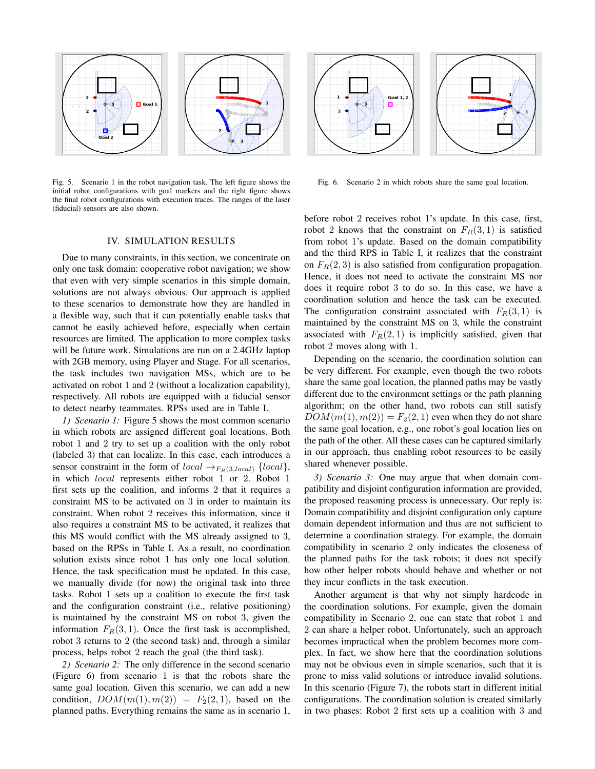

Fig. 5. Scenario 1 in the robot navigation task. The left figure shows the initial robot configurations with goal markers and the right figure shows the final robot configurations with execution traces. The ranges of the laser (fiducial) sensors are also shown.

#### **IV. SIMULATION RESULTS**

Due to many constraints, in this section, we concentrate on only one task domain: cooperative robot navigation; we show that even with very simple scenarios in this simple domain, solutions are not always obvious. Our approach is applied to these scenarios to demonstrate how they are handled in a flexible way, such that it can potentially enable tasks that cannot be easily achieved before, especially when certain resources are limited. The application to more complex tasks will be future work. Simulations are run on a 2.4GHz laptop with 2GB memory, using Player and Stage. For all scenarios, the task includes two navigation MSs, which are to be activated on robot 1 and 2 (without a localization capability), respectively. All robots are equipped with a fiducial sensor to detect nearby teammates. RPSs used are in Table I.

1) Scenario 1: Figure 5 shows the most common scenario in which robots are assigned different goal locations. Both robot 1 and 2 try to set up a coalition with the only robot (labeled 3) that can localize. In this case, each introduces a sensor constraint in the form of  $local \rightarrow_{F_R(3, local)} \{local\}$ , in which *local* represents either robot 1 or 2. Robot 1 first sets up the coalition, and informs 2 that it requires a constraint MS to be activated on 3 in order to maintain its constraint. When robot 2 receives this information, since it also requires a constraint MS to be activated, it realizes that this MS would conflict with the MS already assigned to 3, based on the RPSs in Table I. As a result, no coordination solution exists since robot 1 has only one local solution. Hence, the task specification must be updated. In this case, we manually divide (for now) the original task into three tasks. Robot 1 sets up a coalition to execute the first task and the configuration constraint (i.e., relative positioning) is maintained by the constraint MS on robot 3, given the information  $F_R(3,1)$ . Once the first task is accomplished, robot 3 returns to 2 (the second task) and, through a similar process, helps robot 2 reach the goal (the third task).

2) Scenario 2: The only difference in the second scenario (Figure 6) from scenario 1 is that the robots share the same goal location. Given this scenario, we can add a new condition,  $DOM(m(1), m(2)) = F_2(2, 1)$ , based on the planned paths. Everything remains the same as in scenario 1,



Fig. 6. Scenario 2 in which robots share the same goal location.

before robot 2 receives robot 1's update. In this case, first, robot 2 knows that the constraint on  $F_R(3,1)$  is satisfied from robot 1's update. Based on the domain compatibility and the third RPS in Table I, it realizes that the constraint on  $F_R(2,3)$  is also satisfied from configuration propagation. Hence, it does not need to activate the constraint MS nor does it require robot 3 to do so. In this case, we have a coordination solution and hence the task can be executed. The configuration constraint associated with  $F_R(3,1)$  is maintained by the constraint MS on 3, while the constraint associated with  $F_R(2,1)$  is implicitly satisfied, given that robot 2 moves along with 1.

Depending on the scenario, the coordination solution can be very different. For example, even though the two robots share the same goal location, the planned paths may be vastly different due to the environment settings or the path planning algorithm; on the other hand, two robots can still satisfy  $DOM(m(1), m(2)) = F_2(2, 1)$  even when they do not share the same goal location, e.g., one robot's goal location lies on the path of the other. All these cases can be captured similarly in our approach, thus enabling robot resources to be easily shared whenever possible.

3) Scenario 3: One may argue that when domain compatibility and disjoint configuration information are provided, the proposed reasoning process is unnecessary. Our reply is: Domain compatibility and disjoint configuration only capture domain dependent information and thus are not sufficient to determine a coordination strategy. For example, the domain compatibility in scenario 2 only indicates the closeness of the planned paths for the task robots; it does not specify how other helper robots should behave and whether or not they incur conflicts in the task execution.

Another argument is that why not simply hardcode in the coordination solutions. For example, given the domain compatibility in Scenario 2, one can state that robot 1 and 2 can share a helper robot. Unfortunately, such an approach becomes impractical when the problem becomes more complex. In fact, we show here that the coordination solutions may not be obvious even in simple scenarios, such that it is prone to miss valid solutions or introduce invalid solutions. In this scenario (Figure 7), the robots start in different initial configurations. The coordination solution is created similarly in two phases: Robot 2 first sets up a coalition with 3 and